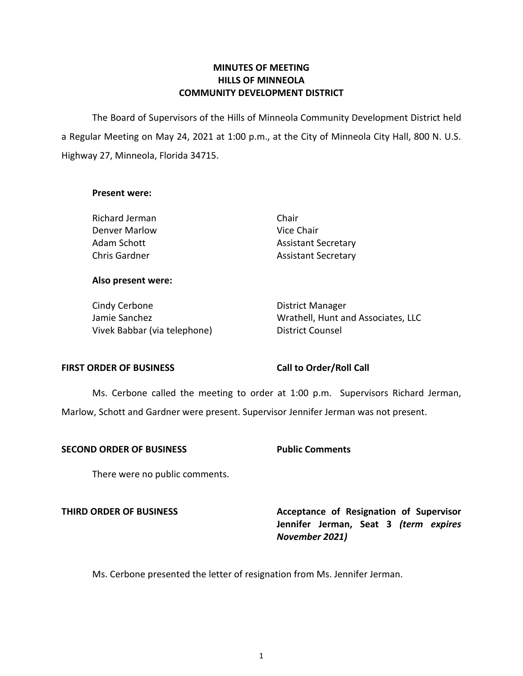## **MINUTES OF MEETING HILLS OF MINNEOLA COMMUNITY DEVELOPMENT DISTRICT**

 The Board of Supervisors of the Hills of Minneola Community Development District held a Regular Meeting on May 24, 2021 at 1:00 p.m., at the City of Minneola City Hall, 800 N. U.S. Highway 27, Minneola, Florida 34715.

### **Present were:**

Richard Jerman Chair Denver Marlow Nice Chair

Adam Schott **Assistant Secretary** Chris Gardner **Assistant Secretary** 

# **Also present were:**

Cindy Cerbone **District Manager** Vivek Babbar (via telephone) District Counsel

Jamie Sanchez Wrathell, Hunt and Associates, LLC

## FIRST ORDER OF BUSINESS Call to Order/Roll Call

Ms. Cerbone called the meeting to order at 1:00 p.m. Supervisors Richard Jerman,

Marlow, Schott and Gardner were present. Supervisor Jennifer Jerman was not present.

### **SECOND ORDER OF BUSINESS Public Comments**

There were no public comments.

**THIRD ORDER OF BUSINESS Acceptance of Resignation of Supervisor Jennifer Jerman, Seat 3** *(term expires November 2021)* 

Ms. Cerbone presented the letter of resignation from Ms. Jennifer Jerman.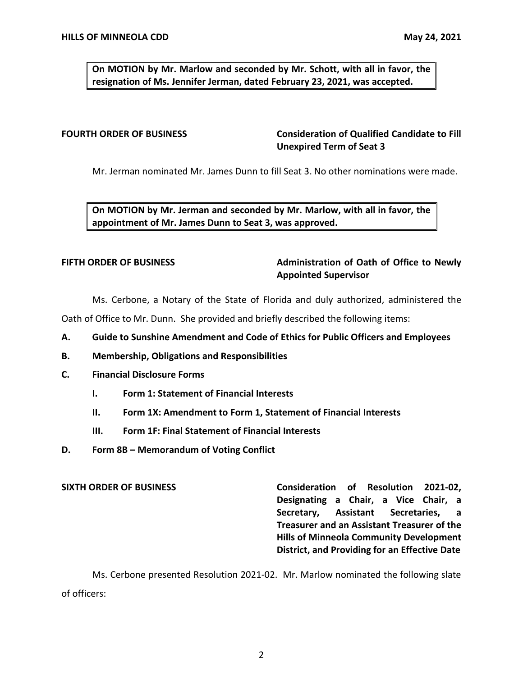**On MOTION by Mr. Marlow and seconded by Mr. Schott, with all in favor, the resignation of Ms. Jennifer Jerman, dated February 23, 2021, was accepted.** 

# **FOURTH ORDER OF BUSINESS Consideration of Qualified Candidate to Fill Unexpired Term of Seat 3**

Mr. Jerman nominated Mr. James Dunn to fill Seat 3. No other nominations were made.

 **On MOTION by Mr. Jerman and seconded by Mr. Marlow, with all in favor, the appointment of Mr. James Dunn to Seat 3, was approved.** 

# FIFTH ORDER OF BUSINESS **Administration of Oath of Office to Newly Appointed Supervisor**

Ms. Cerbone, a Notary of the State of Florida and duly authorized, administered the

Oath of Office to Mr. Dunn. She provided and briefly described the following items:

- **A. Guide to Sunshine Amendment and Code of Ethics for Public Officers and Employees**
- **B. Membership, Obligations and Responsibilities**
- **C. Financial Disclosure Forms** 
	- **I. Form 1: Statement of Financial Interests**
	- **II. Form 1X: Amendment to Form 1, Statement of Financial Interests**
	- **III. Form 1F: Final Statement of Financial Interests**
- **D. Form 8B – Memorandum of Voting Conflict**

 **SIXTH ORDER OF BUSINESS Consideration of Resolution 2021-02, Designating a Chair, a Vice Chair, a Secretary, Assistant Secretaries, a Treasurer and an Assistant Treasurer of the Hills of Minneola Community Development District, and Providing for an Effective Date** 

Ms. Cerbone presented Resolution 2021-02. Mr. Marlow nominated the following slate of officers: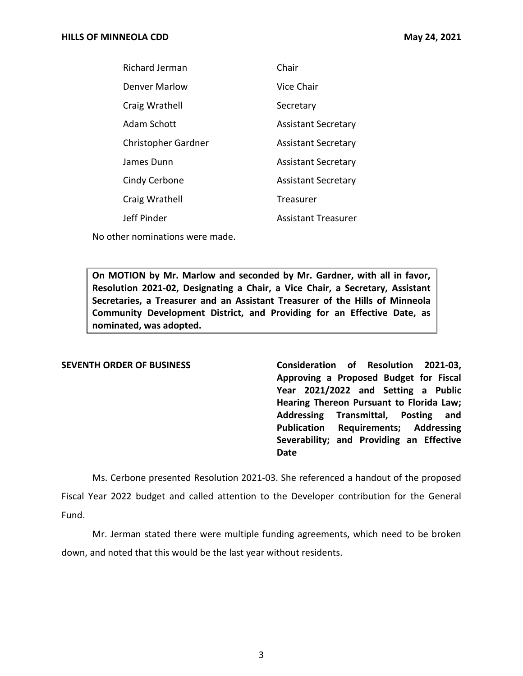| <b>Richard Jerman</b> | Chair                      |
|-----------------------|----------------------------|
| Denver Marlow         | Vice Chair                 |
| Craig Wrathell        | Secretary                  |
| Adam Schott           | <b>Assistant Secretary</b> |
| Christopher Gardner   | <b>Assistant Secretary</b> |
| James Dunn            | <b>Assistant Secretary</b> |
| Cindy Cerbone         | <b>Assistant Secretary</b> |
| Craig Wrathell        | Treasurer                  |
| Jeff Pinder           | Assistant Treasurer        |
|                       |                            |

No other nominations were made.

 **On MOTION by Mr. Marlow and seconded by Mr. Gardner, with all in favor, Resolution 2021-02, Designating a Chair, a Vice Chair, a Secretary, Assistant Secretaries, a Treasurer and an Assistant Treasurer of the Hills of Minneola Community Development District, and Providing for an Effective Date, as nominated, was adopted.** 

**SEVENTH ORDER OF BUSINESS Consideration of Resolution 2021-03, Approving a Proposed Budget for Fiscal Year 2021/2022 and Setting a Public Hearing Thereon Pursuant to Florida Law; Addressing Transmittal, Posting and Publication Requirements; Addressing Severability; and Providing an Effective Date** 

Ms. Cerbone presented Resolution 2021-03. She referenced a handout of the proposed Fiscal Year 2022 budget and called attention to the Developer contribution for the General Fund.

Mr. Jerman stated there were multiple funding agreements, which need to be broken down, and noted that this would be the last year without residents.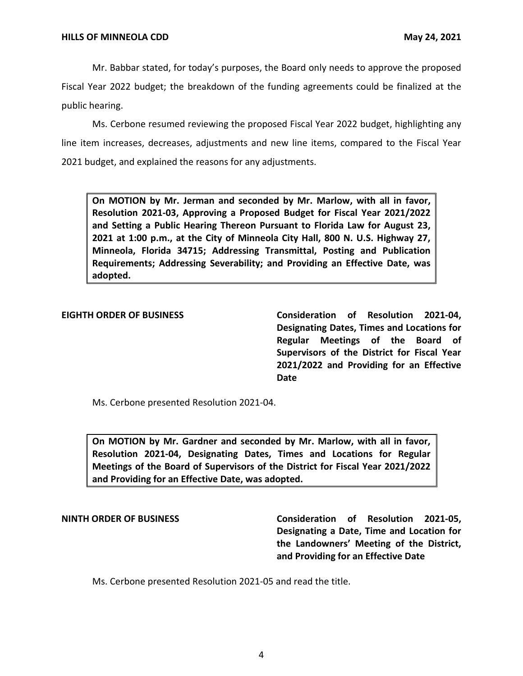Mr. Babbar stated, for today's purposes, the Board only needs to approve the proposed Fiscal Year 2022 budget; the breakdown of the funding agreements could be finalized at the public hearing.

 2021 budget, and explained the reasons for any adjustments. Ms. Cerbone resumed reviewing the proposed Fiscal Year 2022 budget, highlighting any line item increases, decreases, adjustments and new line items, compared to the Fiscal Year

 **On MOTION by Mr. Jerman and seconded by Mr. Marlow, with all in favor, 2021 at 1:00 p.m., at the City of Minneola City Hall, 800 N. U.S. Highway 27, Minneola, Florida 34715; Addressing Transmittal, Posting and Publication Resolution 2021-03, Approving a Proposed Budget for Fiscal Year 2021/2022 and Setting a Public Hearing Thereon Pursuant to Florida Law for August 23, Requirements; Addressing Severability; and Providing an Effective Date, was adopted.** 

### **EIGHTH ORDER OF BUSINESS**

**Consideration of Resolution 2021-04, Designating Dates, Times and Locations for Regular Meetings of the Board of Supervisors of the District for Fiscal Year 2021/2022 and Providing for an Effective Date** 

Ms. Cerbone presented Resolution 2021-04.

 **On MOTION by Mr. Gardner and seconded by Mr. Marlow, with all in favor, Resolution 2021-04, Designating Dates, Times and Locations for Regular Meetings of the Board of Supervisors of the District for Fiscal Year 2021/2022 and Providing for an Effective Date, was adopted.** 

**NINTH ORDER OF BUSINESS Consideration of Resolution 2021-05, Designating a Date, Time and Location for the Landowners' Meeting of the District, and Providing for an Effective Date** 

Ms. Cerbone presented Resolution 2021-05 and read the title.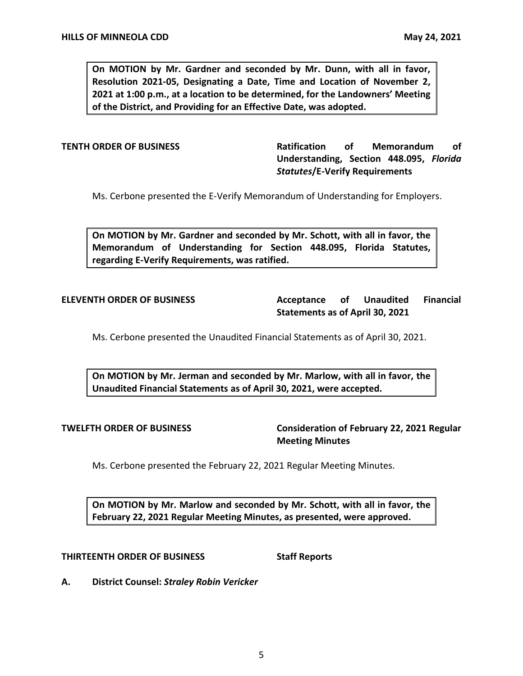**On MOTION by Mr. Gardner and seconded by Mr. Dunn, with all in favor, Resolution 2021-05, Designating a Date, Time and Location of November 2, 2021 at 1:00 p.m., at a location to be determined, for the Landowners' Meeting of the District, and Providing for an Effective Date, was adopted.** 

**TENTH ORDER OF BUSINESS Ratification of Memorandum of Understanding, Section 448.095,** *Florida Statutes***/E-Verify Requirements** 

Ms. Cerbone presented the E-Verify Memorandum of Understanding for Employers.

 **On MOTION by Mr. Gardner and seconded by Mr. Schott, with all in favor, the Memorandum of Understanding for Section 448.095, Florida Statutes, regarding E-Verify Requirements, was ratified.** 

Acceptance of  **Statements as of April 30, 2021 ELEVENTH ORDER OF BUSINESS Acceptance of Unaudited Financial** 

Ms. Cerbone presented the Unaudited Financial Statements as of April 30, 2021.

 **On MOTION by Mr. Jerman and seconded by Mr. Marlow, with all in favor, the Unaudited Financial Statements as of April 30, 2021, were accepted.** 

 **TWELFTH ORDER OF BUSINESS Consideration of February 22, 2021 Regular Meeting Minutes** 

Ms. Cerbone presented the February 22, 2021 Regular Meeting Minutes.

 **On MOTION by Mr. Marlow and seconded by Mr. Schott, with all in favor, the February 22, 2021 Regular Meeting Minutes, as presented, were approved.** 

### **THIRTEENTH ORDER OF BUSINESS Staff Reports**

 **A. District Counsel:** *Straley Robin Vericker*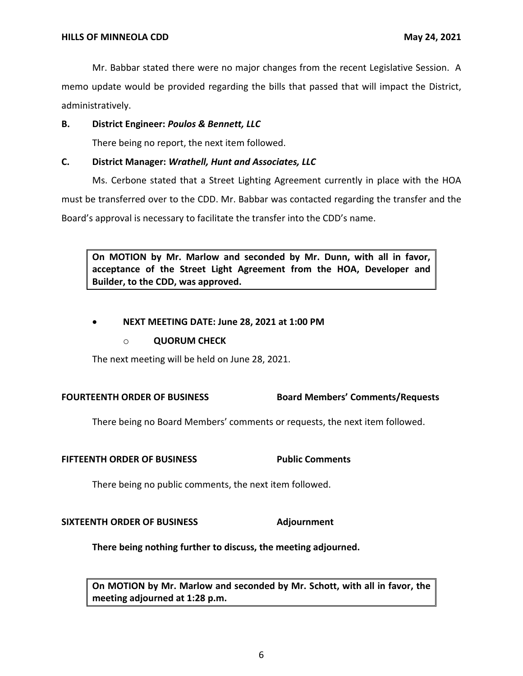Mr. Babbar stated there were no major changes from the recent Legislative Session. A memo update would be provided regarding the bills that passed that will impact the District, administratively.

# **B. District Engineer:** *Poulos & Bennett, LLC*

There being no report, the next item followed.

# **C. District Manager:** *Wrathell, Hunt and Associates, LLC*

Ms. Cerbone stated that a Street Lighting Agreement currently in place with the HOA must be transferred over to the CDD. Mr. Babbar was contacted regarding the transfer and the Board's approval is necessary to facilitate the transfer into the CDD's name.

 **On MOTION by Mr. Marlow and seconded by Mr. Dunn, with all in favor, acceptance of the Street Light Agreement from the HOA, Developer and Builder, to the CDD, was approved.** 

# • **NEXT MEETING DATE: June 28, 2021 at 1:00 PM**

## o **QUORUM CHECK**

The next meeting will be held on June 28, 2021.

# **FOURTEENTH ORDER OF BUSINESS Board Members' Comments/Requests**

There being no Board Members' comments or requests, the next item followed.

## **FIFTEENTH ORDER OF BUSINESS Public Comments**

There being no public comments, the next item followed.

## SIXTEENTH ORDER OF BUSINESS Adjournment

**There being nothing further to discuss, the meeting adjourned.** 

 **On MOTION by Mr. Marlow and seconded by Mr. Schott, with all in favor, the meeting adjourned at 1:28 p.m.**